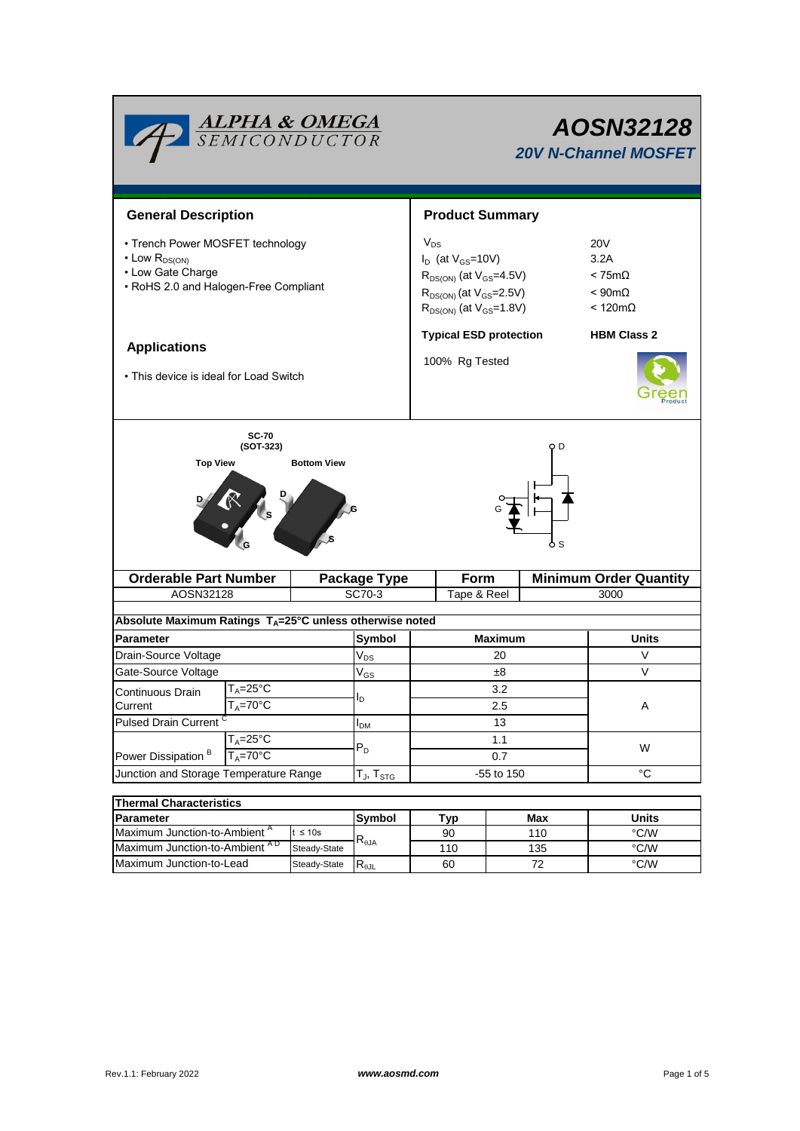| <b>ALPHA &amp; OMEGA</b><br>SEMICONDUCTOR                                                                                  | <b>AOSN32128</b><br><b>20V N-Channel MOSFET</b> |                                                                                                                                                    |                |                               |            |                                                                                                |                                |  |  |  |
|----------------------------------------------------------------------------------------------------------------------------|-------------------------------------------------|----------------------------------------------------------------------------------------------------------------------------------------------------|----------------|-------------------------------|------------|------------------------------------------------------------------------------------------------|--------------------------------|--|--|--|
| <b>General Description</b>                                                                                                 |                                                 | <b>Product Summary</b>                                                                                                                             |                |                               |            |                                                                                                |                                |  |  |  |
| • Trench Power MOSFET technology<br>$\cdot$ Low $R_{DS(ON)}$<br>• Low Gate Charge<br>• RoHS 2.0 and Halogen-Free Compliant |                                                 | $V_{DS}$<br>$I_D$ (at $V_{GS}$ =10V)<br>$R_{DS(ON)}$ (at $V_{GS}$ =4.5V)<br>$R_{DS(ON)}$ (at $V_{GS}$ =2.5V)<br>$R_{DS(ON)}$ (at $V_{GS} = 1.8V$ ) |                |                               |            | <b>20V</b><br>3.2A<br>$< 75 \text{m}\Omega$<br>$< 90 \text{m}\Omega$<br>$< 120 \text{m}\Omega$ |                                |  |  |  |
|                                                                                                                            |                                                 |                                                                                                                                                    |                | <b>Typical ESD protection</b> |            |                                                                                                | <b>HBM Class 2</b>             |  |  |  |
| <b>Applications</b><br>• This device is ideal for Load Switch                                                              |                                                 |                                                                                                                                                    | 100% Rg Tested |                               |            |                                                                                                |                                |  |  |  |
| (SOT-323)<br><b>Top View</b><br><b>Bottom View</b>                                                                         |                                                 |                                                                                                                                                    |                | ח מ                           |            |                                                                                                |                                |  |  |  |
| <b>Orderable Part Number</b>                                                                                               |                                                 | <b>Package Type</b>                                                                                                                                |                | Form                          |            | <b>Minimum Order Quantity</b>                                                                  |                                |  |  |  |
| AOSN32128                                                                                                                  | SC70-3                                          |                                                                                                                                                    | Tape & Reel    |                               |            |                                                                                                | 3000                           |  |  |  |
| Absolute Maximum Ratings T <sub>A</sub> =25°C unless otherwise noted                                                       |                                                 |                                                                                                                                                    |                |                               |            |                                                                                                |                                |  |  |  |
| <b>Parameter</b>                                                                                                           |                                                 | Symbol                                                                                                                                             |                |                               |            |                                                                                                | Units                          |  |  |  |
| Drain-Source Voltage                                                                                                       |                                                 | $\rm V_{DS}$                                                                                                                                       |                | <b>Maximum</b><br>20          |            |                                                                                                | V                              |  |  |  |
| Gate-Source Voltage                                                                                                        |                                                 | $V_{GS}$                                                                                                                                           | $\pm 8$        |                               |            |                                                                                                | V                              |  |  |  |
| $T_A = 25$ °C                                                                                                              |                                                 |                                                                                                                                                    | 3.2            |                               |            |                                                                                                |                                |  |  |  |
| Continuous Drain<br>$T_{\scriptscriptstyle\rm A}$ =70° $\overline{\rm C}$<br>Current                                       |                                                 | ı,                                                                                                                                                 |                | 2.5                           |            |                                                                                                | Α                              |  |  |  |
| Pulsed Drain Current                                                                                                       |                                                 | $I_{DM}$                                                                                                                                           |                | 13                            |            |                                                                                                |                                |  |  |  |
| $T_A = 25^{\circ}C$<br>Power Dissipation <sup>B</sup><br>$T_A = 70^\circ \overline{C}$                                     |                                                 |                                                                                                                                                    | 1.1            |                               |            |                                                                                                |                                |  |  |  |
|                                                                                                                            |                                                 | $P_D$                                                                                                                                              |                | 0.7                           |            |                                                                                                | W                              |  |  |  |
| Junction and Storage Temperature Range                                                                                     | $T_{\sf J}, T_{\sf STG}$                        | -55 to 150                                                                                                                                         |                |                               | °C         |                                                                                                |                                |  |  |  |
|                                                                                                                            |                                                 |                                                                                                                                                    |                |                               |            |                                                                                                |                                |  |  |  |
| <b>Thermal Characteristics</b>                                                                                             | <b>Symbol</b>                                   |                                                                                                                                                    |                |                               |            |                                                                                                |                                |  |  |  |
| Parameter<br>Maximum Junction-to-Ambient <sup>A</sup>                                                                      |                                                 |                                                                                                                                                    |                | <b>Typ</b><br>90              |            | Max                                                                                            | <b>Units</b>                   |  |  |  |
| $t \leq 10s$<br>Maximum Junction-to-Ambient AD<br>Steady-State                                                             |                                                 | $\mathsf{R}_{\theta\mathsf{JA}}$                                                                                                                   |                | 110                           | 110<br>135 |                                                                                                | $\degree$ C/W<br>$\degree$ C/W |  |  |  |
|                                                                                                                            |                                                 |                                                                                                                                                    |                |                               |            |                                                                                                |                                |  |  |  |

Steady-State  $R_{\theta JL}$ 

Maximum Junction-to-Lead Steady-State R<sub>AJL</sub> 60 72 72 °C/W

60

72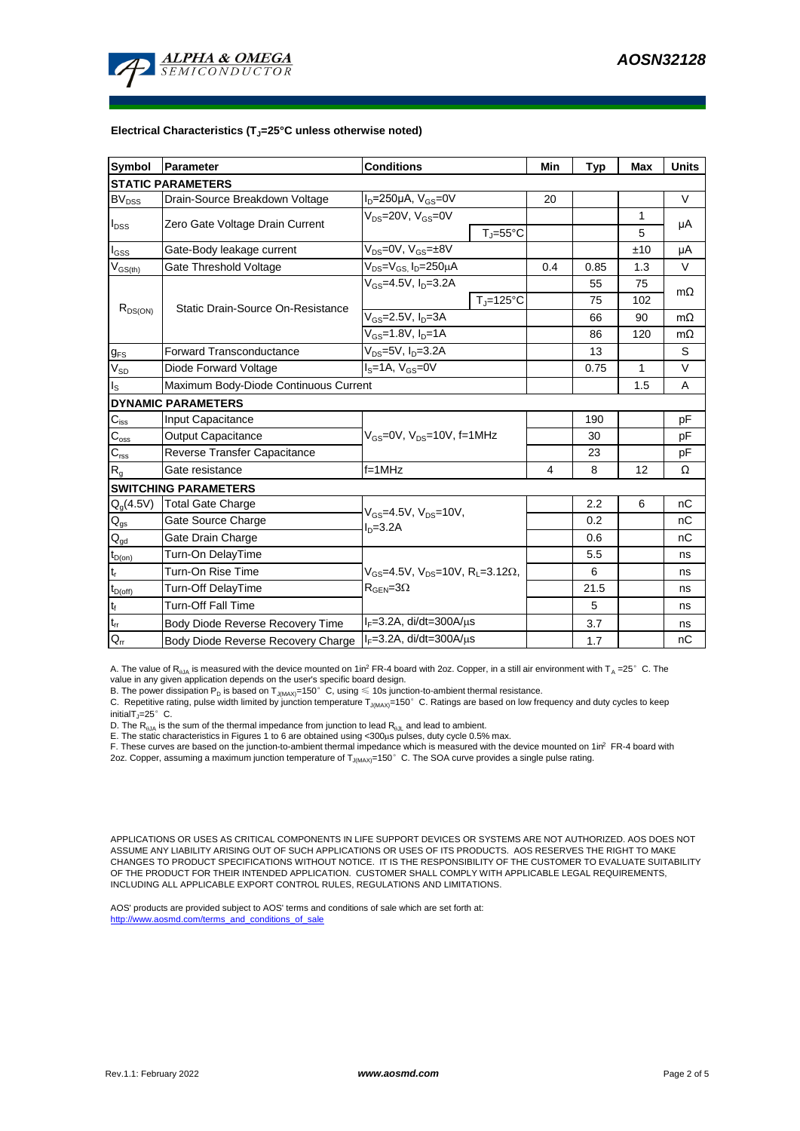

#### **Electrical Characteristics (TJ=25°C unless otherwise noted)**

| Symbol                     | Parameter                             | <b>Conditions</b>                                              |                    | Min  | <b>Typ</b> | Max | <b>Units</b> |  |  |  |  |  |  |
|----------------------------|---------------------------------------|----------------------------------------------------------------|--------------------|------|------------|-----|--------------|--|--|--|--|--|--|
| <b>STATIC PARAMETERS</b>   |                                       |                                                                |                    |      |            |     |              |  |  |  |  |  |  |
| <b>BV</b> <sub>DSS</sub>   | Drain-Source Breakdown Voltage        | $I_D = 250 \mu A$ , $V_{GS} = 0V$                              |                    | 20   |            |     | $\vee$       |  |  |  |  |  |  |
| $I_{DSS}$                  | Zero Gate Voltage Drain Current       | $V_{DS}$ =20V, $V_{GS}$ =0V                                    |                    |      |            | 1   | μA           |  |  |  |  |  |  |
|                            |                                       |                                                                | $T_{\rm J}$ =55°C  |      |            | 5   |              |  |  |  |  |  |  |
| $I_{GSS}$                  | Gate-Body leakage current             | $V_{DS} = 0V$ , $V_{GS} = \pm 8V$                              |                    |      |            | ±10 | μA           |  |  |  |  |  |  |
| $V_{GS(th)}$               | Gate Threshold Voltage                | V <sub>DS</sub> =V <sub>GS.</sub> I <sub>D</sub> =250µA        |                    | 0.4  | 0.85       | 1.3 | V            |  |  |  |  |  |  |
| $R_{DS(ON)}$               | Static Drain-Source On-Resistance     | $V_{GS} = 4.5V$ , $I_{D} = 3.2A$                               |                    |      | 55         | 75  | $m\Omega$    |  |  |  |  |  |  |
|                            |                                       |                                                                | $T_{\rm J}$ =125°C |      | 75         | 102 |              |  |  |  |  |  |  |
|                            |                                       | $V_{GS}$ =2.5V, $I_D$ =3A                                      |                    |      | 66         | 90  | $m\Omega$    |  |  |  |  |  |  |
|                            |                                       | $V_{GS} = 1.8V, I_D = 1A$                                      |                    |      | 86         | 120 | $m\Omega$    |  |  |  |  |  |  |
| $g_{FS}$                   | <b>Forward Transconductance</b>       | $V_{DS} = 5V$ , $I_D = 3.2A$                                   |                    |      | 13         |     | S            |  |  |  |  |  |  |
| $V_{SD}$                   | Diode Forward Voltage                 | $IS=1A, VGS=0V$                                                |                    | 0.75 | 1          | V   |              |  |  |  |  |  |  |
| lls                        | Maximum Body-Diode Continuous Current |                                                                |                    | 1.5  | A          |     |              |  |  |  |  |  |  |
|                            | <b>DYNAMIC PARAMETERS</b>             |                                                                |                    |      |            |     |              |  |  |  |  |  |  |
| $\mathbf{C}_{\text{iss}}$  | Input Capacitance                     |                                                                |                    |      | 190        |     | рF           |  |  |  |  |  |  |
| $\mathbf{C}_{\text{oss}}$  | Output Capacitance                    | $V_{GS}$ =0V, $V_{DS}$ =10V, f=1MHz                            |                    |      | 30         |     | рF           |  |  |  |  |  |  |
| $C_{\rm rss}$              | Reverse Transfer Capacitance          |                                                                |                    | 23   |            | рF  |              |  |  |  |  |  |  |
| $R_{g}$                    | Gate resistance                       | $f = 1$ MHz                                                    | 4                  | 8    | 12         | Ω   |              |  |  |  |  |  |  |
|                            | <b>SWITCHING PARAMETERS</b>           |                                                                |                    |      |            |     |              |  |  |  |  |  |  |
| $Q_g(4.5V)$                | <b>Total Gate Charge</b>              | $V_{GS}$ =4.5V, $V_{DS}$ =10V,<br>$ID=3.2A$                    |                    |      | 2.2        | 6   | nC           |  |  |  |  |  |  |
| $\mathsf{Q}_{\text{gs}}$   | Gate Source Charge                    |                                                                |                    |      | 0.2        |     | nC           |  |  |  |  |  |  |
| $\mathsf{Q}_{\mathsf{gd}}$ | Gate Drain Charge                     |                                                                |                    |      | 0.6        |     | nС           |  |  |  |  |  |  |
| $t_{D(0n)}$                | Turn-On DelayTime                     |                                                                |                    |      | 5.5        |     | ns           |  |  |  |  |  |  |
| $t_{r}$                    | Turn-On Rise Time                     | $V_{GS}$ =4.5V, $V_{DS}$ =10V, R <sub>1</sub> =3.12 $\Omega$ , |                    | 6    |            | ns  |              |  |  |  |  |  |  |
| $t_{D(off)}$               | Turn-Off DelayTime                    | $R_{\text{GEN}} = 3\Omega$                                     |                    |      | 21.5       |     | ns           |  |  |  |  |  |  |
| $\mathbf{t}_\text{f}$      | <b>Turn-Off Fall Time</b>             |                                                                |                    | 5    |            | ns  |              |  |  |  |  |  |  |
| $\mathfrak{t}_{\text{rr}}$ | Body Diode Reverse Recovery Time      | $I_F = 3.2A$ , di/dt=300A/ $\mu$ s                             |                    | 3.7  |            | ns  |              |  |  |  |  |  |  |
| $Q_{rr}$                   | Body Diode Reverse Recovery Charge    | $I_F = 3.2A$ , di/dt=300A/us                                   |                    |      | 1.7        |     | nC           |  |  |  |  |  |  |

A. The value of R<sub>0JA</sub> is measured with the device mounted on 1in<sup>2</sup> FR-4 board with 2oz. Copper, in a still air environment with T<sub>A</sub> =25°C. The value in any given application depends on the user's specific board design.

B. The power dissipation  ${\sf P}_{\sf D}$  is based on  ${\sf T}_{\sf J(MAX)}$ =150 $^\circ\,$  C, using  $\leqslant$  10s junction-to-ambient thermal resistance.

C. Repetitive rating, pulse width limited by junction temperature T $_{\rm J(MAX)}$ =150°C. Ratings are based on low frequency and duty cycles to keep

 $initialT = 25^\circ$  C.

D. The R<sub>eJA</sub> is the sum of the thermal impedance from junction to lead R<sub>eJL</sub> and lead to ambient.<br>E. The static characteristics in Figures 1 to 6 are obtained using <300µs pulses, duty cycle 0.5% max.<br>F. These curves ar

2oz. Copper, assuming a maximum junction temperature of T<sub>J(MAX)</sub>=150°C. The SOA curve provides a single pulse rating.

APPLICATIONS OR USES AS CRITICAL COMPONENTS IN LIFE SUPPORT DEVICES OR SYSTEMS ARE NOT AUTHORIZED. AOS DOES NOT ASSUME ANY LIABILITY ARISING OUT OF SUCH APPLICATIONS OR USES OF ITS PRODUCTS. AOS RESERVES THE RIGHT TO MAKE CHANGES TO PRODUCT SPECIFICATIONS WITHOUT NOTICE. IT IS THE RESPONSIBILITY OF THE CUSTOMER TO EVALUATE SUITABILITY OF THE PRODUCT FOR THEIR INTENDED APPLICATION. CUSTOMER SHALL COMPLY WITH APPLICABLE LEGAL REQUIREMENTS, INCLUDING ALL APPLICABLE EXPORT CONTROL RULES, REGULATIONS AND LIMITATIONS.

AOS' products are provided subject to AOS' terms and conditions of sale which are set forth at: http://www.aosmd.com/terms\_and\_conditions\_of\_sale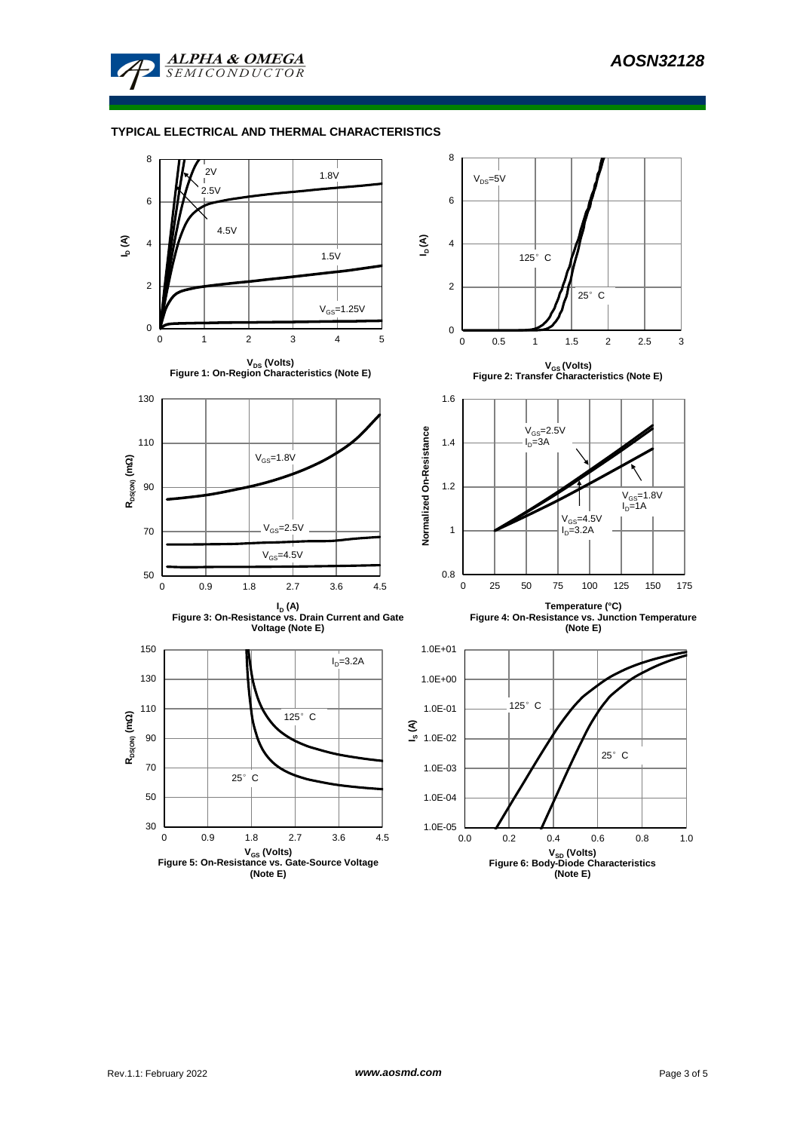

### **TYPICAL ELECTRICAL AND THERMAL CHARACTERISTICS**

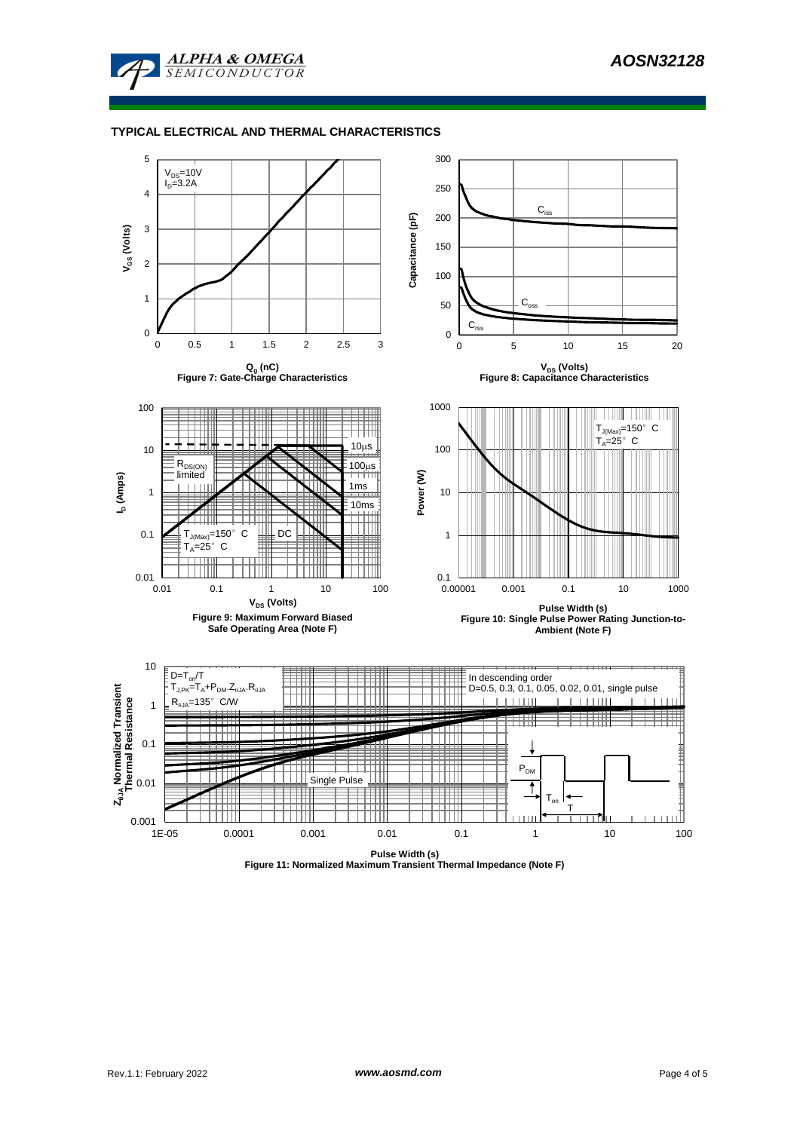

### **TYPICAL ELECTRICAL AND THERMAL CHARACTERISTICS**



**Pulse Width (s) Figure 11: Normalized Maximum Transient Thermal Impedance (Note F)**